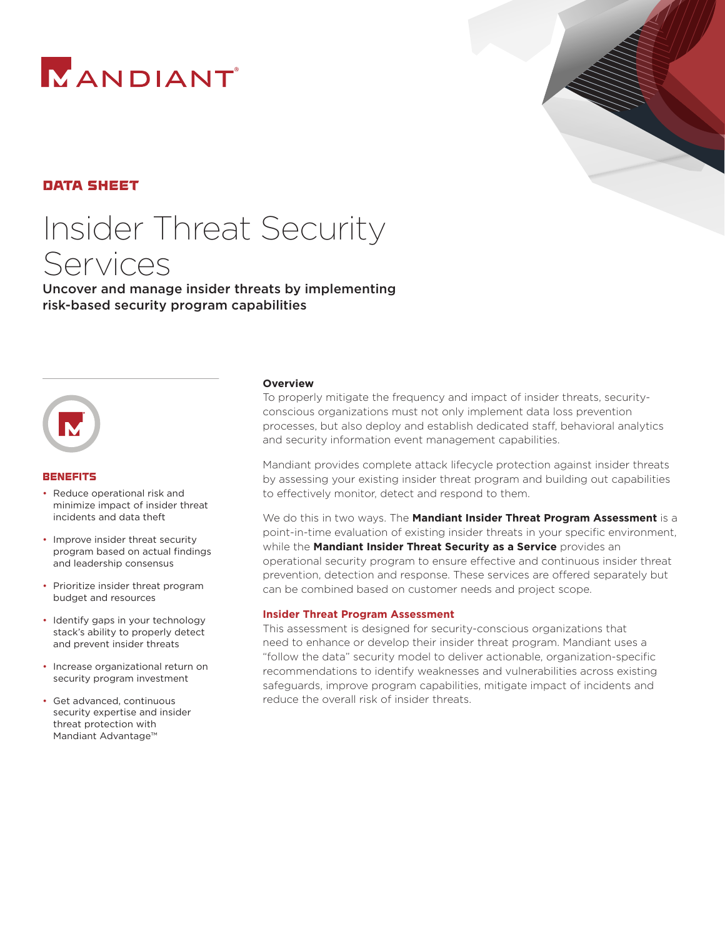



# data sheet

# Insider Threat Security Services

Uncover and manage insider threats by implementing risk-based security program capabilities



#### **BENEFITS**

- Reduce operational risk and minimize impact of insider threat incidents and data theft
- Improve insider threat security program based on actual findings and leadership consensus
- Prioritize insider threat program budget and resources
- Identify gaps in your technology stack's ability to properly detect and prevent insider threats
- Increase organizational return on security program investment
- Get advanced, continuous security expertise and insider threat protection with Mandiant Advantage™

#### **Overview**

To properly mitigate the frequency and impact of insider threats, securityconscious organizations must not only implement data loss prevention processes, but also deploy and establish dedicated staff, behavioral analytics and security information event management capabilities.

Mandiant provides complete attack lifecycle protection against insider threats by assessing your existing insider threat program and building out capabilities to effectively monitor, detect and respond to them.

We do this in two ways. The **Mandiant Insider Threat Program Assessment** is a point-in-time evaluation of existing insider threats in your specific environment, while the **Mandiant Insider Threat Security as a Service** provides an operational security program to ensure effective and continuous insider threat prevention, detection and response. These services are offered separately but can be combined based on customer needs and project scope.

#### **Insider Threat Program Assessment**

This assessment is designed for security-conscious organizations that need to enhance or develop their insider threat program. Mandiant uses a "follow the data" security model to deliver actionable, organization-specific recommendations to identify weaknesses and vulnerabilities across existing safeguards, improve program capabilities, mitigate impact of incidents and reduce the overall risk of insider threats.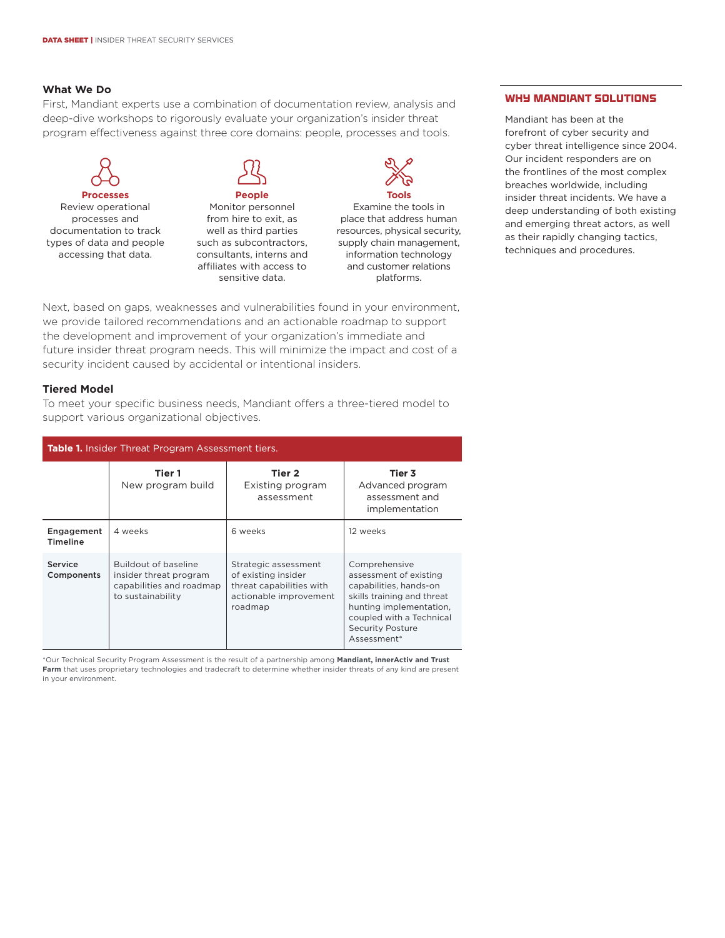## **What We Do**

First, Mandiant experts use a combination of documentation review, analysis and deep-dive workshops to rigorously evaluate your organization's insider threat program effectiveness against three core domains: people, processes and tools.



Review operational processes and documentation to track types of data and people accessing that data.

**People** Monitor personnel from hire to exit, as

well as third parties such as subcontractors, consultants, interns and affiliates with access to sensitive data.



Examine the tools in place that address human resources, physical security, supply chain management, information technology and customer relations platforms.

Next, based on gaps, weaknesses and vulnerabilities found in your environment, we provide tailored recommendations and an actionable roadmap to support the development and improvement of your organization's immediate and future insider threat program needs. This will minimize the impact and cost of a security incident caused by accidental or intentional insiders.

#### **Tiered Model**

To meet your specific business needs, Mandiant offers a three-tiered model to support various organizational objectives.

| <b>Table 1.</b> Insider Threat Program Assessment tiers. |                                                                                                        |                                                                                                              |                                                                                                                                                                                                  |
|----------------------------------------------------------|--------------------------------------------------------------------------------------------------------|--------------------------------------------------------------------------------------------------------------|--------------------------------------------------------------------------------------------------------------------------------------------------------------------------------------------------|
|                                                          | Tier 1<br>New program build                                                                            | Tier 2<br>Existing program<br>assessment                                                                     | Tier 3<br>Advanced program<br>assessment and<br>implementation                                                                                                                                   |
| Engagement<br>Timeline                                   | 4 weeks                                                                                                | 6 weeks                                                                                                      | 12 weeks                                                                                                                                                                                         |
| Service<br>Components                                    | <b>Buildout of baseline</b><br>insider threat program<br>capabilities and roadmap<br>to sustainability | Strategic assessment<br>of existing insider<br>threat capabilities with<br>actionable improvement<br>roadmap | Comprehensive<br>assessment of existing<br>capabilities, hands-on<br>skills training and threat<br>hunting implementation,<br>coupled with a Technical<br><b>Security Posture</b><br>Assessment* |

\*Our Technical Security Program Assessment is the result of a partnership among **Mandiant, innerActiv and Trust Farm** that uses proprietary technologies and tradecraft to determine whether insider threats of any kind are present in your environment.

### WHY MANDIANT SOLUTIONS

Mandiant has been at the forefront of cyber security and cyber threat intelligence since 2004. Our incident responders are on the frontlines of the most complex breaches worldwide, including insider threat incidents. We have a deep understanding of both existing and emerging threat actors, as well as their rapidly changing tactics, techniques and procedures.